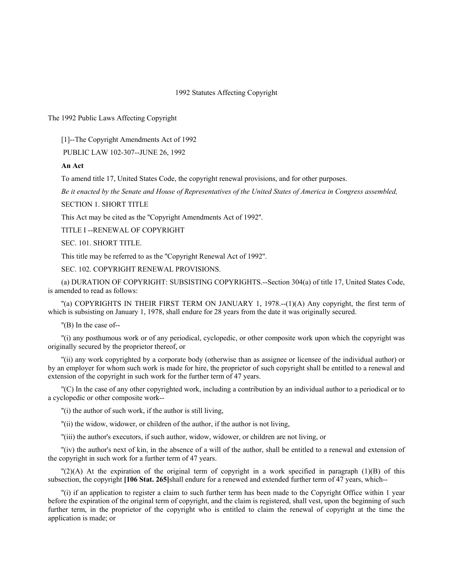### 1992 Statutes Affecting Copyright

The 1992 Public Laws Affecting Copyright

[1]--The Copyright Amendments Act of 1992

PUBLIC LAW 102-307--JUNE 26, 1992

### **An Act**

To amend title 17, United States Code, the copyright renewal provisions, and for other purposes.

*Be it enacted by the Senate and House of Representatives of the United States of America in Congress assembled,*

SECTION 1. SHORT TITLE

This Act may be cited as the ''Copyright Amendments Act of 1992''.

TITLE I --RENEWAL OF COPYRIGHT

SEC. 101. SHORT TITLE.

This title may be referred to as the ''Copyright Renewal Act of 1992''.

SEC. 102. COPYRIGHT RENEWAL PROVISIONS.

(a) DURATION OF COPYRIGHT: SUBSISTING COPYRIGHTS.--Section 304(a) of title 17, United States Code, is amended to read as follows:

''(a) COPYRIGHTS IN THEIR FIRST TERM ON JANUARY 1, 1978.--(1)(A) Any copyright, the first term of which is subsisting on January 1, 1978, shall endure for 28 years from the date it was originally secured.

''(B) In the case of--

''(i) any posthumous work or of any periodical, cyclopedic, or other composite work upon which the copyright was originally secured by the proprietor thereof, or

''(ii) any work copyrighted by a corporate body (otherwise than as assignee or licensee of the individual author) or by an employer for whom such work is made for hire, the proprietor of such copyright shall be entitled to a renewal and extension of the copyright in such work for the further term of 47 years.

''(C) In the case of any other copyrighted work, including a contribution by an individual author to a periodical or to a cyclopedic or other composite work--

''(i) the author of such work, if the author is still living,

''(ii) the widow, widower, or children of the author, if the author is not living,

''(iii) the author's executors, if such author, widow, widower, or children are not living, or

''(iv) the author's next of kin, in the absence of a will of the author, shall be entitled to a renewal and extension of the copyright in such work for a further term of 47 years.

 $\binom{n}{2}$ (A) At the expiration of the original term of copyright in a work specified in paragraph (1)(B) of this subsection, the copyright **[106 Stat. 265]**shall endure for a renewed and extended further term of 47 years, which--

''(i) if an application to register a claim to such further term has been made to the Copyright Office within 1 year before the expiration of the original term of copyright, and the claim is registered, shall vest, upon the beginning of such further term, in the proprietor of the copyright who is entitled to claim the renewal of copyright at the time the application is made; or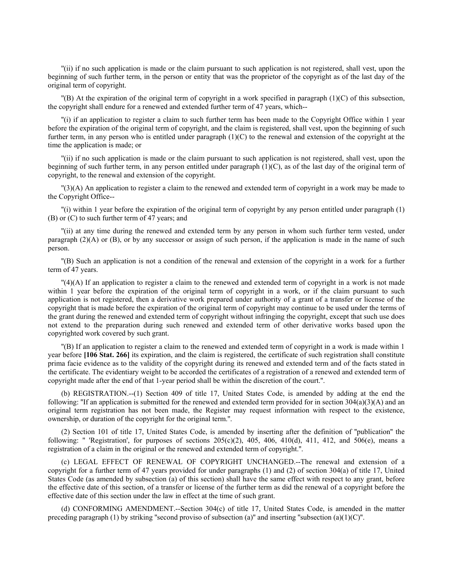''(ii) if no such application is made or the claim pursuant to such application is not registered, shall vest, upon the beginning of such further term, in the person or entity that was the proprietor of the copyright as of the last day of the original term of copyright.

 $'(B)$  At the expiration of the original term of copyright in a work specified in paragraph (1)(C) of this subsection, the copyright shall endure for a renewed and extended further term of 47 years, which--

''(i) if an application to register a claim to such further term has been made to the Copyright Office within 1 year before the expiration of the original term of copyright, and the claim is registered, shall vest, upon the beginning of such further term, in any person who is entitled under paragraph  $(1)(C)$  to the renewal and extension of the copyright at the time the application is made; or

''(ii) if no such application is made or the claim pursuant to such application is not registered, shall vest, upon the beginning of such further term, in any person entitled under paragraph  $(1)(C)$ , as of the last day of the original term of copyright, to the renewal and extension of the copyright.

''(3)(A) An application to register a claim to the renewed and extended term of copyright in a work may be made to the Copyright Office--

''(i) within 1 year before the expiration of the original term of copyright by any person entitled under paragraph (1) (B) or (C) to such further term of 47 years; and

''(ii) at any time during the renewed and extended term by any person in whom such further term vested, under paragraph (2)(A) or (B), or by any successor or assign of such person, if the application is made in the name of such person.

''(B) Such an application is not a condition of the renewal and extension of the copyright in a work for a further term of 47 years.

''(4)(A) If an application to register a claim to the renewed and extended term of copyright in a work is not made within 1 year before the expiration of the original term of copyright in a work, or if the claim pursuant to such application is not registered, then a derivative work prepared under authority of a grant of a transfer or license of the copyright that is made before the expiration of the original term of copyright may continue to be used under the terms of the grant during the renewed and extended term of copyright without infringing the copyright, except that such use does not extend to the preparation during such renewed and extended term of other derivative works based upon the copyrighted work covered by such grant.

''(B) If an application to register a claim to the renewed and extended term of copyright in a work is made within 1 year before **[106 Stat. 266]** its expiration, and the claim is registered, the certificate of such registration shall constitute prima facie evidence as to the validity of the copyright during its renewed and extended term and of the facts stated in the certificate. The evidentiary weight to be accorded the certificates of a registration of a renewed and extended term of copyright made after the end of that 1-year period shall be within the discretion of the court.''.

(b) REGISTRATION.--(1) Section 409 of title 17, United States Code, is amended by adding at the end the following: "If an application is submitted for the renewed and extended term provided for in section  $304(a)(3)(A)$  and an original term registration has not been made, the Register may request information with respect to the existence, ownership, or duration of the copyright for the original term.''.

(2) Section 101 of title 17, United States Code, is amended by inserting after the definition of ''publication'' the following: " 'Registration', for purposes of sections  $205(c)(2)$ ,  $405$ ,  $406$ ,  $410(d)$ ,  $411$ ,  $412$ , and  $506(e)$ , means a registration of a claim in the original or the renewed and extended term of copyright.''.

(c) LEGAL EFFECT OF RENEWAL OF COPYRIGHT UNCHANGED.--The renewal and extension of a copyright for a further term of 47 years provided for under paragraphs (1) and (2) of section 304(a) of title 17, United States Code (as amended by subsection (a) of this section) shall have the same effect with respect to any grant, before the effective date of this section, of a transfer or license of the further term as did the renewal of a copyright before the effective date of this section under the law in effect at the time of such grant.

(d) CONFORMING AMENDMENT.--Section 304(c) of title 17, United States Code, is amended in the matter preceding paragraph (1) by striking "second proviso of subsection (a)" and inserting "subsection (a)(1)(C)".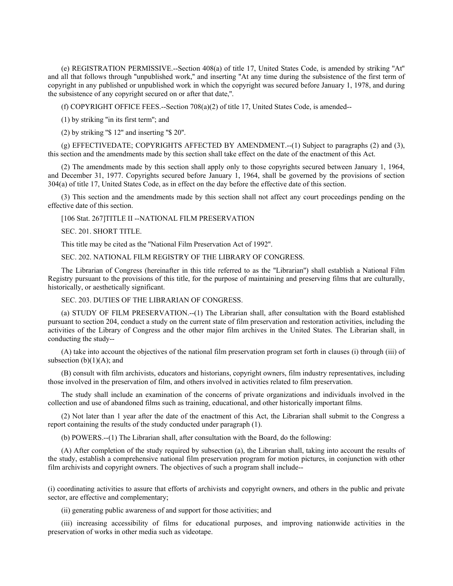(e) REGISTRATION PERMISSIVE.--Section 408(a) of title 17, United States Code, is amended by striking ''At'' and all that follows through ''unpublished work,'' and inserting ''At any time during the subsistence of the first term of copyright in any published or unpublished work in which the copyright was secured before January 1, 1978, and during the subsistence of any copyright secured on or after that date,''.

(f) COPYRIGHT OFFICE FEES.--Section 708(a)(2) of title 17, United States Code, is amended--

(1) by striking ''in its first term''; and

(2) by striking ''\$ 12'' and inserting ''\$ 20''.

(g) EFFECTIVEDATE; COPYRIGHTS AFFECTED BY AMENDMENT.--(1) Subject to paragraphs (2) and (3), this section and the amendments made by this section shall take effect on the date of the enactment of this Act.

(2) The amendments made by this section shall apply only to those copyrights secured between January 1, 1964, and December 31, 1977. Copyrights secured before January 1, 1964, shall be governed by the provisions of section 304(a) of title 17, United States Code, as in effect on the day before the effective date of this section.

(3) This section and the amendments made by this section shall not affect any court proceedings pending on the effective date of this section.

[106 Stat. 267]TITLE II --NATIONAL FILM PRESERVATION

SEC. 201. SHORT TITLE.

This title may be cited as the ''National Film Preservation Act of 1992''.

SEC. 202. NATIONAL FILM REGISTRY OF THE LIBRARY OF CONGRESS.

The Librarian of Congress (hereinafter in this title referred to as the ''Librarian'') shall establish a National Film Registry pursuant to the provisions of this title, for the purpose of maintaining and preserving films that are culturally, historically, or aesthetically significant.

SEC. 203. DUTIES OF THE LIBRARIAN OF CONGRESS.

(a) STUDY OF FILM PRESERVATION.--(1) The Librarian shall, after consultation with the Board established pursuant to section 204, conduct a study on the current state of film preservation and restoration activities, including the activities of the Library of Congress and the other major film archives in the United States. The Librarian shall, in conducting the study--

(A) take into account the objectives of the national film preservation program set forth in clauses (i) through (iii) of subsection  $(b)(1)(A)$ ; and

(B) consult with film archivists, educators and historians, copyright owners, film industry representatives, including those involved in the preservation of film, and others involved in activities related to film preservation.

The study shall include an examination of the concerns of private organizations and individuals involved in the collection and use of abandoned films such as training, educational, and other historically important films.

(2) Not later than 1 year after the date of the enactment of this Act, the Librarian shall submit to the Congress a report containing the results of the study conducted under paragraph (1).

(b) POWERS.--(1) The Librarian shall, after consultation with the Board, do the following:

(A) After completion of the study required by subsection (a), the Librarian shall, taking into account the results of the study, establish a comprehensive national film preservation program for motion pictures, in conjunction with other film archivists and copyright owners. The objectives of such a program shall include--

(i) coordinating activities to assure that efforts of archivists and copyright owners, and others in the public and private sector, are effective and complementary;

(ii) generating public awareness of and support for those activities; and

(iii) increasing accessibility of films for educational purposes, and improving nationwide activities in the preservation of works in other media such as videotape.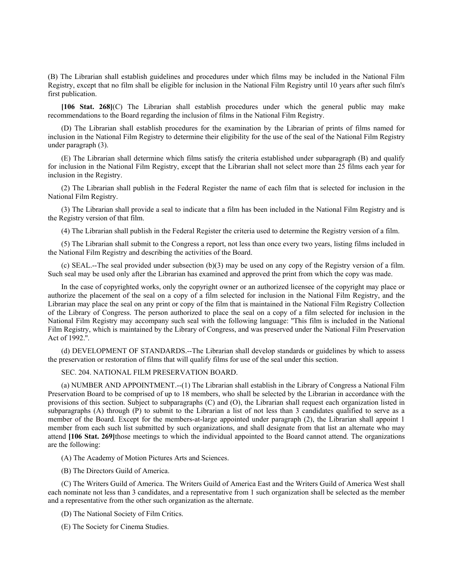(B) The Librarian shall establish guidelines and procedures under which films may be included in the National Film Registry, except that no film shall be eligible for inclusion in the National Film Registry until 10 years after such film's first publication.

**[106 Stat. 268]**(C) The Librarian shall establish procedures under which the general public may make recommendations to the Board regarding the inclusion of films in the National Film Registry.

(D) The Librarian shall establish procedures for the examination by the Librarian of prints of films named for inclusion in the National Film Registry to determine their eligibility for the use of the seal of the National Film Registry under paragraph (3).

(E) The Librarian shall determine which films satisfy the criteria established under subparagraph (B) and qualify for inclusion in the National Film Registry, except that the Librarian shall not select more than 25 films each year for inclusion in the Registry.

(2) The Librarian shall publish in the Federal Register the name of each film that is selected for inclusion in the National Film Registry.

(3) The Librarian shall provide a seal to indicate that a film has been included in the National Film Registry and is the Registry version of that film.

(4) The Librarian shall publish in the Federal Register the criteria used to determine the Registry version of a film.

(5) The Librarian shall submit to the Congress a report, not less than once every two years, listing films included in the National Film Registry and describing the activities of the Board.

(c) SEAL.--The seal provided under subsection (b)(3) may be used on any copy of the Registry version of a film. Such seal may be used only after the Librarian has examined and approved the print from which the copy was made.

In the case of copyrighted works, only the copyright owner or an authorized licensee of the copyright may place or authorize the placement of the seal on a copy of a film selected for inclusion in the National Film Registry, and the Librarian may place the seal on any print or copy of the film that is maintained in the National Film Registry Collection of the Library of Congress. The person authorized to place the seal on a copy of a film selected for inclusion in the National Film Registry may accompany such seal with the following language: ''This film is included in the National Film Registry, which is maintained by the Library of Congress, and was preserved under the National Film Preservation Act of 1992.''.

(d) DEVELOPMENT OF STANDARDS.--The Librarian shall develop standards or guidelines by which to assess the preservation or restoration of films that will qualify films for use of the seal under this section.

# SEC. 204. NATIONAL FILM PRESERVATION BOARD.

(a) NUMBER AND APPOINTMENT.--(1) The Librarian shall establish in the Library of Congress a National Film Preservation Board to be comprised of up to 18 members, who shall be selected by the Librarian in accordance with the provisions of this section. Subject to subparagraphs (C) and (O), the Librarian shall request each organization listed in subparagraphs (A) through (P) to submit to the Librarian a list of not less than 3 candidates qualified to serve as a member of the Board. Except for the members-at-large appointed under paragraph (2), the Librarian shall appoint 1 member from each such list submitted by such organizations, and shall designate from that list an alternate who may attend **[106 Stat. 269]**those meetings to which the individual appointed to the Board cannot attend. The organizations are the following:

(A) The Academy of Motion Pictures Arts and Sciences.

(B) The Directors Guild of America.

(C) The Writers Guild of America. The Writers Guild of America East and the Writers Guild of America West shall each nominate not less than 3 candidates, and a representative from 1 such organization shall be selected as the member and a representative from the other such organization as the alternate.

(D) The National Society of Film Critics.

(E) The Society for Cinema Studies.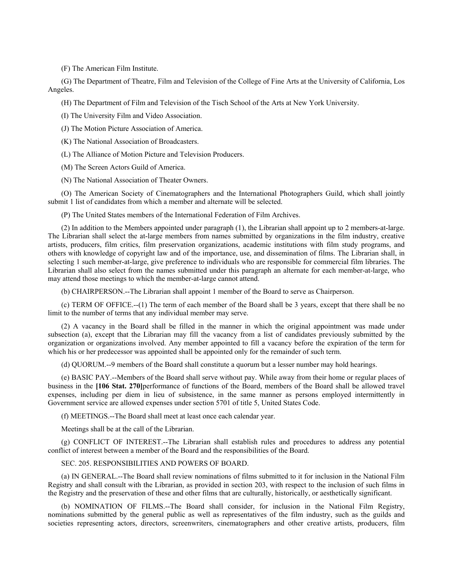(F) The American Film Institute.

(G) The Department of Theatre, Film and Television of the College of Fine Arts at the University of California, Los Angeles.

(H) The Department of Film and Television of the Tisch School of the Arts at New York University.

(I) The University Film and Video Association.

(J) The Motion Picture Association of America.

(K) The National Association of Broadcasters.

(L) The Alliance of Motion Picture and Television Producers.

(M) The Screen Actors Guild of America.

(N) The National Association of Theater Owners.

(O) The American Society of Cinematographers and the International Photographers Guild, which shall jointly submit 1 list of candidates from which a member and alternate will be selected.

(P) The United States members of the International Federation of Film Archives.

(2) In addition to the Members appointed under paragraph (1), the Librarian shall appoint up to 2 members-at-large. The Librarian shall select the at-large members from names submitted by organizations in the film industry, creative artists, producers, film critics, film preservation organizations, academic institutions with film study programs, and others with knowledge of copyright law and of the importance, use, and dissemination of films. The Librarian shall, in selecting 1 such member-at-large, give preference to individuals who are responsible for commercial film libraries. The Librarian shall also select from the names submitted under this paragraph an alternate for each member-at-large, who may attend those meetings to which the member-at-large cannot attend.

(b) CHAIRPERSON.--The Librarian shall appoint 1 member of the Board to serve as Chairperson.

(c) TERM OF OFFICE.--(1) The term of each member of the Board shall be 3 years, except that there shall be no limit to the number of terms that any individual member may serve.

(2) A vacancy in the Board shall be filled in the manner in which the original appointment was made under subsection (a), except that the Librarian may fill the vacancy from a list of candidates previously submitted by the organization or organizations involved. Any member appointed to fill a vacancy before the expiration of the term for which his or her predecessor was appointed shall be appointed only for the remainder of such term.

(d) QUORUM.--9 members of the Board shall constitute a quorum but a lesser number may hold hearings.

(e) BASIC PAY.--Members of the Board shall serve without pay. While away from their home or regular places of business in the **[106 Stat. 270]**performance of functions of the Board, members of the Board shall be allowed travel expenses, including per diem in lieu of subsistence, in the same manner as persons employed intermittently in Government service are allowed expenses under section 5701 of title 5, United States Code.

(f) MEETINGS.--The Board shall meet at least once each calendar year.

Meetings shall be at the call of the Librarian.

(g) CONFLICT OF INTEREST.--The Librarian shall establish rules and procedures to address any potential conflict of interest between a member of the Board and the responsibilities of the Board.

SEC. 205. RESPONSIBILITIES AND POWERS OF BOARD.

(a) IN GENERAL.--The Board shall review nominations of films submitted to it for inclusion in the National Film Registry and shall consult with the Librarian, as provided in section 203, with respect to the inclusion of such films in the Registry and the preservation of these and other films that are culturally, historically, or aesthetically significant.

(b) NOMINATION OF FILMS.--The Board shall consider, for inclusion in the National Film Registry, nominations submitted by the general public as well as representatives of the film industry, such as the guilds and societies representing actors, directors, screenwriters, cinematographers and other creative artists, producers, film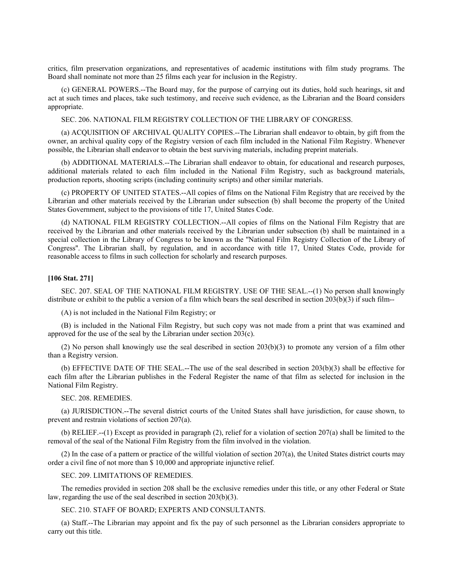critics, film preservation organizations, and representatives of academic institutions with film study programs. The Board shall nominate not more than 25 films each year for inclusion in the Registry.

(c) GENERAL POWERS.--The Board may, for the purpose of carrying out its duties, hold such hearings, sit and act at such times and places, take such testimony, and receive such evidence, as the Librarian and the Board considers appropriate.

SEC. 206. NATIONAL FILM REGISTRY COLLECTION OF THE LIBRARY OF CONGRESS.

(a) ACQUISITION OF ARCHIVAL QUALITY COPIES.--The Librarian shall endeavor to obtain, by gift from the owner, an archival quality copy of the Registry version of each film included in the National Film Registry. Whenever possible, the Librarian shall endeavor to obtain the best surviving materials, including preprint materials.

(b) ADDITIONAL MATERIALS.--The Librarian shall endeavor to obtain, for educational and research purposes, additional materials related to each film included in the National Film Registry, such as background materials, production reports, shooting scripts (including continuity scripts) and other similar materials.

(c) PROPERTY OF UNITED STATES.--All copies of films on the National Film Registry that are received by the Librarian and other materials received by the Librarian under subsection (b) shall become the property of the United States Government, subject to the provisions of title 17, United States Code.

(d) NATIONAL FILM REGISTRY COLLECTION.--All copies of films on the National Film Registry that are received by the Librarian and other materials received by the Librarian under subsection (b) shall be maintained in a special collection in the Library of Congress to be known as the ''National Film Registry Collection of the Library of Congress''. The Librarian shall, by regulation, and in accordance with title 17, United States Code, provide for reasonable access to films in such collection for scholarly and research purposes.

#### **[106 Stat. 271]**

SEC. 207. SEAL OF THE NATIONAL FILM REGISTRY. USE OF THE SEAL.--(1) No person shall knowingly distribute or exhibit to the public a version of a film which bears the seal described in section  $203(b)(3)$  if such film--

(A) is not included in the National Film Registry; or

(B) is included in the National Film Registry, but such copy was not made from a print that was examined and approved for the use of the seal by the Librarian under section  $203(c)$ .

(2) No person shall knowingly use the seal described in section 203(b)(3) to promote any version of a film other than a Registry version.

(b) EFFECTIVE DATE OF THE SEAL.--The use of the seal described in section 203(b)(3) shall be effective for each film after the Librarian publishes in the Federal Register the name of that film as selected for inclusion in the National Film Registry.

#### SEC. 208. REMEDIES.

(a) JURISDICTION.--The several district courts of the United States shall have jurisdiction, for cause shown, to prevent and restrain violations of section 207(a).

(b) RELIEF.--(1) Except as provided in paragraph (2), relief for a violation of section 207(a) shall be limited to the removal of the seal of the National Film Registry from the film involved in the violation.

(2) In the case of a pattern or practice of the willful violation of section 207(a), the United States district courts may order a civil fine of not more than \$ 10,000 and appropriate injunctive relief.

# SEC. 209. LIMITATIONS OF REMEDIES.

The remedies provided in section 208 shall be the exclusive remedies under this title, or any other Federal or State law, regarding the use of the seal described in section 203(b)(3).

# SEC. 210. STAFF OF BOARD; EXPERTS AND CONSULTANTS.

(a) Staff.--The Librarian may appoint and fix the pay of such personnel as the Librarian considers appropriate to carry out this title.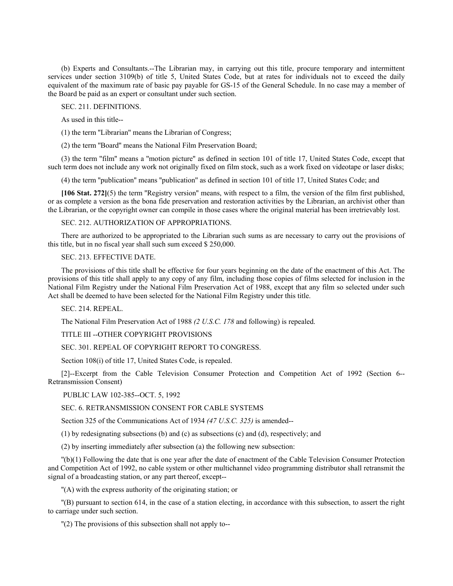(b) Experts and Consultants.--The Librarian may, in carrying out this title, procure temporary and intermittent services under section 3109(b) of title 5, United States Code, but at rates for individuals not to exceed the daily equivalent of the maximum rate of basic pay payable for GS-15 of the General Schedule. In no case may a member of the Board be paid as an expert or consultant under such section.

SEC. 211. DEFINITIONS.

As used in this title--

(1) the term ''Librarian'' means the Librarian of Congress;

(2) the term ''Board'' means the National Film Preservation Board;

(3) the term ''film'' means a ''motion picture'' as defined in section 101 of title 17, United States Code, except that such term does not include any work not originally fixed on film stock, such as a work fixed on videotape or laser disks;

(4) the term ''publication'' means ''publication'' as defined in section 101 of title 17, United States Code; and

**[106 Stat. 272]**(5) the term ''Registry version'' means, with respect to a film, the version of the film first published, or as complete a version as the bona fide preservation and restoration activities by the Librarian, an archivist other than the Librarian, or the copyright owner can compile in those cases where the original material has been irretrievably lost.

SEC. 212. AUTHORIZATION OF APPROPRIATIONS.

There are authorized to be appropriated to the Librarian such sums as are necessary to carry out the provisions of this title, but in no fiscal year shall such sum exceed \$ 250,000.

SEC. 213. EFFECTIVE DATE.

The provisions of this title shall be effective for four years beginning on the date of the enactment of this Act. The provisions of this title shall apply to any copy of any film, including those copies of films selected for inclusion in the National Film Registry under the National Film Preservation Act of 1988, except that any film so selected under such Act shall be deemed to have been selected for the National Film Registry under this title.

SEC. 214. REPEAL.

The National Film Preservation Act of 1988 *(2 U.S.C. 178* and following) is repealed.

TITLE III --OTHER COPYRIGHT PROVISIONS

SEC. 301. REPEAL OF COPYRIGHT REPORT TO CONGRESS.

Section 108(i) of title 17, United States Code, is repealed.

[2]--Excerpt from the Cable Television Consumer Protection and Competition Act of 1992 (Section 6-- Retransmission Consent)

PUBLIC LAW 102-385--OCT. 5, 1992

SEC. 6. RETRANSMISSION CONSENT FOR CABLE SYSTEMS

Section 325 of the Communications Act of 1934 *(47 U.S.C. 325)* is amended--

(1) by redesignating subsections (b) and (c) as subsections (c) and (d), respectively; and

(2) by inserting immediately after subsection (a) the following new subsection:

''(b)(1) Following the date that is one year after the date of enactment of the Cable Television Consumer Protection and Competition Act of 1992, no cable system or other multichannel video programming distributor shall retransmit the signal of a broadcasting station, or any part thereof, except--

''(A) with the express authority of the originating station; or

''(B) pursuant to section 614, in the case of a station electing, in accordance with this subsection, to assert the right to carriage under such section.

''(2) The provisions of this subsection shall not apply to--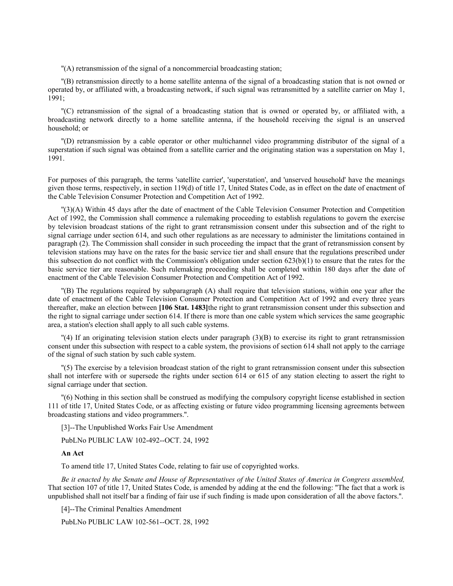''(A) retransmission of the signal of a noncommercial broadcasting station;

''(B) retransmission directly to a home satellite antenna of the signal of a broadcasting station that is not owned or operated by, or affiliated with, a broadcasting network, if such signal was retransmitted by a satellite carrier on May 1, 1991;

''(C) retransmission of the signal of a broadcasting station that is owned or operated by, or affiliated with, a broadcasting network directly to a home satellite antenna, if the household receiving the signal is an unserved household; or

''(D) retransmission by a cable operator or other multichannel video programming distributor of the signal of a superstation if such signal was obtained from a satellite carrier and the originating station was a superstation on May 1, 1991.

For purposes of this paragraph, the terms 'satellite carrier', 'superstation', and 'unserved household' have the meanings given those terms, respectively, in section 119(d) of title 17, United States Code, as in effect on the date of enactment of the Cable Television Consumer Protection and Competition Act of 1992.

''(3)(A) Within 45 days after the date of enactment of the Cable Television Consumer Protection and Competition Act of 1992, the Commission shall commence a rulemaking proceeding to establish regulations to govern the exercise by television broadcast stations of the right to grant retransmission consent under this subsection and of the right to signal carriage under section 614, and such other regulations as are necessary to administer the limitations contained in paragraph (2). The Commission shall consider in such proceeding the impact that the grant of retransmission consent by television stations may have on the rates for the basic service tier and shall ensure that the regulations prescribed under this subsection do not conflict with the Commission's obligation under section 623(b)(1) to ensure that the rates for the basic service tier are reasonable. Such rulemaking proceeding shall be completed within 180 days after the date of enactment of the Cable Television Consumer Protection and Competition Act of 1992.

''(B) The regulations required by subparagraph (A) shall require that television stations, within one year after the date of enactment of the Cable Television Consumer Protection and Competition Act of 1992 and every three years thereafter, make an election between **[106 Stat. 1483]**the right to grant retransmission consent under this subsection and the right to signal carriage under section 614. If there is more than one cable system which services the same geographic area, a station's election shall apply to all such cable systems.

 $\binom{m}{4}$  If an originating television station elects under paragraph (3)(B) to exercise its right to grant retransmission consent under this subsection with respect to a cable system, the provisions of section 614 shall not apply to the carriage of the signal of such station by such cable system.

''(5) The exercise by a television broadcast station of the right to grant retransmission consent under this subsection shall not interfere with or supersede the rights under section 614 or 615 of any station electing to assert the right to signal carriage under that section.

''(6) Nothing in this section shall be construed as modifying the compulsory copyright license established in section 111 of title 17, United States Code, or as affecting existing or future video programming licensing agreements between broadcasting stations and video programmers.''.

[3]--The Unpublished Works Fair Use Amendment

PubLNo PUBLIC LAW 102-492--OCT. 24, 1992

#### **An Act**

To amend title 17, United States Code, relating to fair use of copyrighted works.

*Be it enacted by the Senate and House of Representatives of the United States of America in Congress assembled,* That section 107 of title 17, United States Code, is amended by adding at the end the following: ''The fact that a work is unpublished shall not itself bar a finding of fair use if such finding is made upon consideration of all the above factors.''.

[4]--The Criminal Penalties Amendment

PubLNo PUBLIC LAW 102-561--OCT. 28, 1992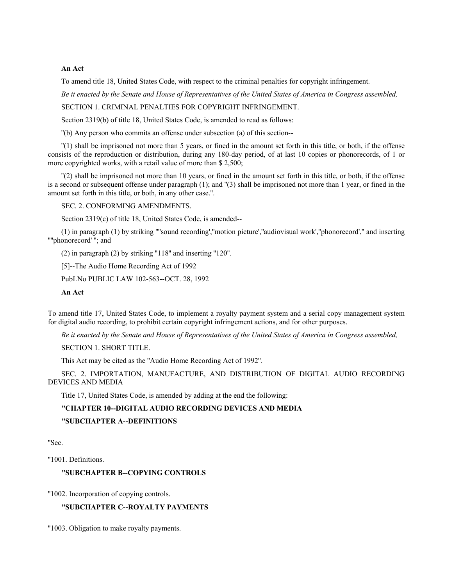# **An Act**

To amend title 18, United States Code, with respect to the criminal penalties for copyright infringement.

*Be it enacted by the Senate and House of Representatives of the United States of America in Congress assembled,*

SECTION 1. CRIMINAL PENALTIES FOR COPYRIGHT INFRINGEMENT.

Section 2319(b) of title 18, United States Code, is amended to read as follows:

''(b) Any person who commits an offense under subsection (a) of this section--

''(1) shall be imprisoned not more than 5 years, or fined in the amount set forth in this title, or both, if the offense consists of the reproduction or distribution, during any 180-day period, of at last 10 copies or phonorecords, of 1 or more copyrighted works, with a retail value of more than \$ 2,500;

''(2) shall be imprisoned not more than 10 years, or fined in the amount set forth in this title, or both, if the offense is a second or subsequent offense under paragraph (1); and ''(3) shall be imprisoned not more than 1 year, or fined in the amount set forth in this title, or both, in any other case.''.

SEC. 2. CONFORMING AMENDMENTS.

Section 2319(c) of title 18, United States Code, is amended--

(1) in paragraph (1) by striking ''''sound recording',''motion picture',''audiovisual work',''phonorecord','' and inserting ''''phonorecord' ''; and

(2) in paragraph (2) by striking ''118'' and inserting ''120''.

[5]--The Audio Home Recording Act of 1992

PubLNo PUBLIC LAW 102-563--OCT. 28, 1992

**An Act**

To amend title 17, United States Code, to implement a royalty payment system and a serial copy management system for digital audio recording, to prohibit certain copyright infringement actions, and for other purposes.

*Be it enacted by the Senate and House of Representatives of the United States of America in Congress assembled,*

SECTION 1. SHORT TITLE.

This Act may be cited as the ''Audio Home Recording Act of 1992''.

SEC. 2. IMPORTATION, MANUFACTURE, AND DISTRIBUTION OF DIGITAL AUDIO RECORDING DEVICES AND MEDIA

Title 17, United States Code, is amended by adding at the end the following:

# **''CHAPTER 10--DIGITAL AUDIO RECORDING DEVICES AND MEDIA**

**''SUBCHAPTER A--DEFINITIONS**

''Sec.

''1001. Definitions.

# **''SUBCHAPTER B--COPYING CONTROLS**

''1002. Incorporation of copying controls.

# **''SUBCHAPTER C--ROYALTY PAYMENTS**

''1003. Obligation to make royalty payments.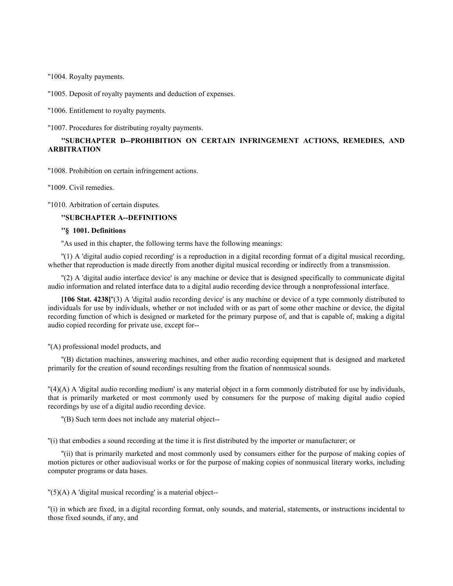''1004. Royalty payments.

''1005. Deposit of royalty payments and deduction of expenses.

''1006. Entitlement to royalty payments.

''1007. Procedures for distributing royalty payments.

# **''SUBCHAPTER D--PROHIBITION ON CERTAIN INFRINGEMENT ACTIONS, REMEDIES, AND ARBITRATION**

''1008. Prohibition on certain infringement actions.

''1009. Civil remedies.

''1010. Arbitration of certain disputes.

# **''SUBCHAPTER A--DEFINITIONS**

# **''§ 1001. Definitions**

''As used in this chapter, the following terms have the following meanings:

''(1) A 'digital audio copied recording' is a reproduction in a digital recording format of a digital musical recording, whether that reproduction is made directly from another digital musical recording or indirectly from a transmission.

''(2) A 'digital audio interface device' is any machine or device that is designed specifically to communicate digital audio information and related interface data to a digital audio recording device through a nonprofessional interface.

**[106 Stat. 4238]**''(3) A 'digital audio recording device' is any machine or device of a type commonly distributed to individuals for use by individuals, whether or not included with or as part of some other machine or device, the digital recording function of which is designed or marketed for the primary purpose of, and that is capable of, making a digital audio copied recording for private use, except for--

''(A) professional model products, and

''(B) dictation machines, answering machines, and other audio recording equipment that is designed and marketed primarily for the creation of sound recordings resulting from the fixation of nonmusical sounds.

''(4)(A) A 'digital audio recording medium' is any material object in a form commonly distributed for use by individuals, that is primarily marketed or most commonly used by consumers for the purpose of making digital audio copied recordings by use of a digital audio recording device.

''(B) Such term does not include any material object--

''(i) that embodies a sound recording at the time it is first distributed by the importer or manufacturer; or

''(ii) that is primarily marketed and most commonly used by consumers either for the purpose of making copies of motion pictures or other audiovisual works or for the purpose of making copies of nonmusical literary works, including computer programs or data bases.

 $''(5)$ (A) A 'digital musical recording' is a material object--

''(i) in which are fixed, in a digital recording format, only sounds, and material, statements, or instructions incidental to those fixed sounds, if any, and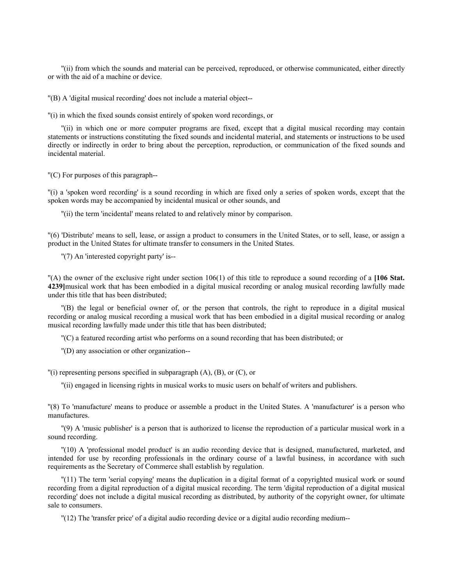''(ii) from which the sounds and material can be perceived, reproduced, or otherwise communicated, either directly or with the aid of a machine or device.

''(B) A 'digital musical recording' does not include a material object--

''(i) in which the fixed sounds consist entirely of spoken word recordings, or

''(ii) in which one or more computer programs are fixed, except that a digital musical recording may contain statements or instructions constituting the fixed sounds and incidental material, and statements or instructions to be used directly or indirectly in order to bring about the perception, reproduction, or communication of the fixed sounds and incidental material.

''(C) For purposes of this paragraph--

''(i) a 'spoken word recording' is a sound recording in which are fixed only a series of spoken words, except that the spoken words may be accompanied by incidental musical or other sounds, and

''(ii) the term 'incidental' means related to and relatively minor by comparison.

''(6) 'Distribute' means to sell, lease, or assign a product to consumers in the United States, or to sell, lease, or assign a product in the United States for ultimate transfer to consumers in the United States.

"(7) An 'interested copyright party' is--

''(A) the owner of the exclusive right under section 106(1) of this title to reproduce a sound recording of a **[106 Stat. 4239]**musical work that has been embodied in a digital musical recording or analog musical recording lawfully made under this title that has been distributed;

''(B) the legal or beneficial owner of, or the person that controls, the right to reproduce in a digital musical recording or analog musical recording a musical work that has been embodied in a digital musical recording or analog musical recording lawfully made under this title that has been distributed;

''(C) a featured recording artist who performs on a sound recording that has been distributed; or

''(D) any association or other organization--

''(i) representing persons specified in subparagraph (A), (B), or (C), or

''(ii) engaged in licensing rights in musical works to music users on behalf of writers and publishers.

''(8) To 'manufacture' means to produce or assemble a product in the United States. A 'manufacturer' is a person who manufactures.

''(9) A 'music publisher' is a person that is authorized to license the reproduction of a particular musical work in a sound recording.

''(10) A 'professional model product' is an audio recording device that is designed, manufactured, marketed, and intended for use by recording professionals in the ordinary course of a lawful business, in accordance with such requirements as the Secretary of Commerce shall establish by regulation.

''(11) The term 'serial copying' means the duplication in a digital format of a copyrighted musical work or sound recording from a digital reproduction of a digital musical recording. The term 'digital reproduction of a digital musical recording' does not include a digital musical recording as distributed, by authority of the copyright owner, for ultimate sale to consumers.

''(12) The 'transfer price' of a digital audio recording device or a digital audio recording medium--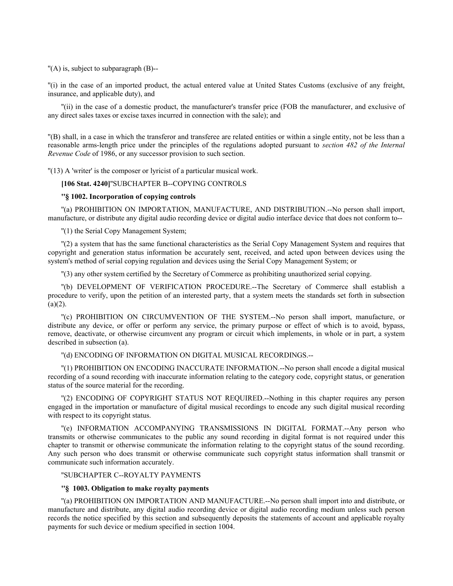''(A) is, subject to subparagraph (B)--

''(i) in the case of an imported product, the actual entered value at United States Customs (exclusive of any freight, insurance, and applicable duty), and

''(ii) in the case of a domestic product, the manufacturer's transfer price (FOB the manufacturer, and exclusive of any direct sales taxes or excise taxes incurred in connection with the sale); and

''(B) shall, in a case in which the transferor and transferee are related entities or within a single entity, not be less than a reasonable arms-length price under the principles of the regulations adopted pursuant to *section 482 of the Internal Revenue Code* of 1986, or any successor provision to such section.

"(13) A 'writer' is the composer or lyricist of a particular musical work.

**[106 Stat. 4240]**''SUBCHAPTER B--COPYING CONTROLS

#### **''§ 1002. Incorporation of copying controls**

''(a) PROHIBITION ON IMPORTATION, MANUFACTURE, AND DISTRIBUTION.--No person shall import, manufacture, or distribute any digital audio recording device or digital audio interface device that does not conform to--

''(1) the Serial Copy Management System;

''(2) a system that has the same functional characteristics as the Serial Copy Management System and requires that copyright and generation status information be accurately sent, received, and acted upon between devices using the system's method of serial copying regulation and devices using the Serial Copy Management System; or

''(3) any other system certified by the Secretary of Commerce as prohibiting unauthorized serial copying.

''(b) DEVELOPMENT OF VERIFICATION PROCEDURE.--The Secretary of Commerce shall establish a procedure to verify, upon the petition of an interested party, that a system meets the standards set forth in subsection  $(a)(2)$ .

''(c) PROHIBITION ON CIRCUMVENTION OF THE SYSTEM.--No person shall import, manufacture, or distribute any device, or offer or perform any service, the primary purpose or effect of which is to avoid, bypass, remove, deactivate, or otherwise circumvent any program or circuit which implements, in whole or in part, a system described in subsection (a).

# ''(d) ENCODING OF INFORMATION ON DIGITAL MUSICAL RECORDINGS.--

''(1) PROHIBITION ON ENCODING INACCURATE INFORMATION.--No person shall encode a digital musical recording of a sound recording with inaccurate information relating to the category code, copyright status, or generation status of the source material for the recording.

''(2) ENCODING OF COPYRIGHT STATUS NOT REQUIRED.--Nothing in this chapter requires any person engaged in the importation or manufacture of digital musical recordings to encode any such digital musical recording with respect to its copyright status.

''(e) INFORMATION ACCOMPANYING TRANSMISSIONS IN DIGITAL FORMAT.--Any person who transmits or otherwise communicates to the public any sound recording in digital format is not required under this chapter to transmit or otherwise communicate the information relating to the copyright status of the sound recording. Any such person who does transmit or otherwise communicate such copyright status information shall transmit or communicate such information accurately.

### ''SUBCHAPTER C--ROYALTY PAYMENTS

# **''§ 1003. Obligation to make royalty payments**

''(a) PROHIBITION ON IMPORTATION AND MANUFACTURE.--No person shall import into and distribute, or manufacture and distribute, any digital audio recording device or digital audio recording medium unless such person records the notice specified by this section and subsequently deposits the statements of account and applicable royalty payments for such device or medium specified in section 1004.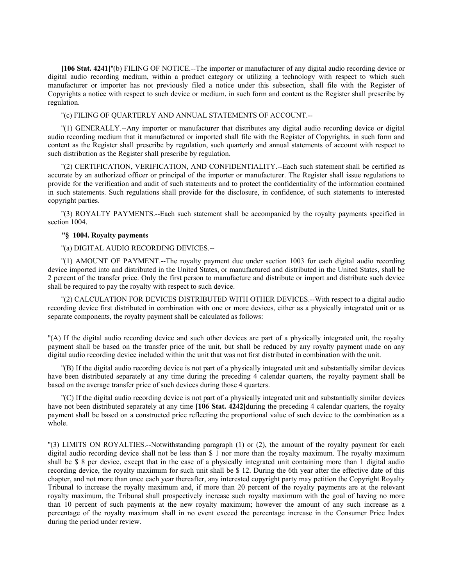**[106 Stat. 4241]**''(b) FILING OF NOTICE.--The importer or manufacturer of any digital audio recording device or digital audio recording medium, within a product category or utilizing a technology with respect to which such manufacturer or importer has not previously filed a notice under this subsection, shall file with the Register of Copyrights a notice with respect to such device or medium, in such form and content as the Register shall prescribe by regulation.

''(c) FILING OF QUARTERLY AND ANNUAL STATEMENTS OF ACCOUNT.--

''(1) GENERALLY.--Any importer or manufacturer that distributes any digital audio recording device or digital audio recording medium that it manufactured or imported shall file with the Register of Copyrights, in such form and content as the Register shall prescribe by regulation, such quarterly and annual statements of account with respect to such distribution as the Register shall prescribe by regulation.

''(2) CERTIFICATION, VERIFICATION, AND CONFIDENTIALITY.--Each such statement shall be certified as accurate by an authorized officer or principal of the importer or manufacturer. The Register shall issue regulations to provide for the verification and audit of such statements and to protect the confidentiality of the information contained in such statements. Such regulations shall provide for the disclosure, in confidence, of such statements to interested copyright parties.

''(3) ROYALTY PAYMENTS.--Each such statement shall be accompanied by the royalty payments specified in section 1004.

#### **''§ 1004. Royalty payments**

# ''(a) DIGITAL AUDIO RECORDING DEVICES.--

''(1) AMOUNT OF PAYMENT.--The royalty payment due under section 1003 for each digital audio recording device imported into and distributed in the United States, or manufactured and distributed in the United States, shall be 2 percent of the transfer price. Only the first person to manufacture and distribute or import and distribute such device shall be required to pay the royalty with respect to such device.

''(2) CALCULATION FOR DEVICES DISTRIBUTED WITH OTHER DEVICES.--With respect to a digital audio recording device first distributed in combination with one or more devices, either as a physically integrated unit or as separate components, the royalty payment shall be calculated as follows:

''(A) If the digital audio recording device and such other devices are part of a physically integrated unit, the royalty payment shall be based on the transfer price of the unit, but shall be reduced by any royalty payment made on any digital audio recording device included within the unit that was not first distributed in combination with the unit.

''(B) If the digital audio recording device is not part of a physically integrated unit and substantially similar devices have been distributed separately at any time during the preceding 4 calendar quarters, the royalty payment shall be based on the average transfer price of such devices during those 4 quarters.

''(C) If the digital audio recording device is not part of a physically integrated unit and substantially similar devices have not been distributed separately at any time **[106 Stat. 4242]**during the preceding 4 calendar quarters, the royalty payment shall be based on a constructed price reflecting the proportional value of such device to the combination as a whole.

''(3) LIMITS ON ROYALTIES.--Notwithstanding paragraph (1) or (2), the amount of the royalty payment for each digital audio recording device shall not be less than \$ 1 nor more than the royalty maximum. The royalty maximum shall be \$ 8 per device, except that in the case of a physically integrated unit containing more than 1 digital audio recording device, the royalty maximum for such unit shall be \$ 12. During the 6th year after the effective date of this chapter, and not more than once each year thereafter, any interested copyright party may petition the Copyright Royalty Tribunal to increase the royalty maximum and, if more than 20 percent of the royalty payments are at the relevant royalty maximum, the Tribunal shall prospectively increase such royalty maximum with the goal of having no more than 10 percent of such payments at the new royalty maximum; however the amount of any such increase as a percentage of the royalty maximum shall in no event exceed the percentage increase in the Consumer Price Index during the period under review.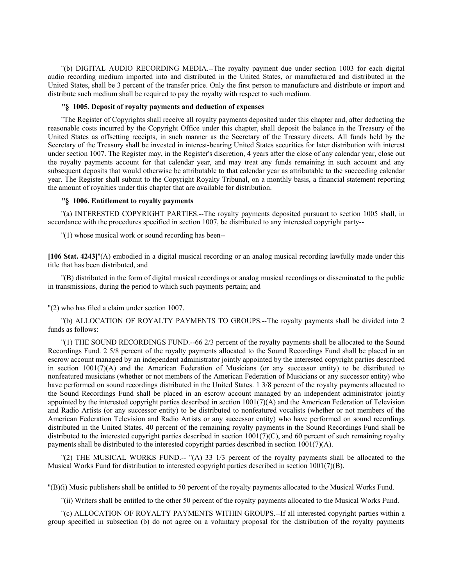''(b) DIGITAL AUDIO RECORDING MEDIA.--The royalty payment due under section 1003 for each digital audio recording medium imported into and distributed in the United States, or manufactured and distributed in the United States, shall be 3 percent of the transfer price. Only the first person to manufacture and distribute or import and distribute such medium shall be required to pay the royalty with respect to such medium.

# **''§ 1005. Deposit of royalty payments and deduction of expenses**

''The Register of Copyrights shall receive all royalty payments deposited under this chapter and, after deducting the reasonable costs incurred by the Copyright Office under this chapter, shall deposit the balance in the Treasury of the United States as offsetting receipts, in such manner as the Secretary of the Treasury directs. All funds held by the Secretary of the Treasury shall be invested in interest-bearing United States securities for later distribution with interest under section 1007. The Register may, in the Register's discretion, 4 years after the close of any calendar year, close out the royalty payments account for that calendar year, and may treat any funds remaining in such account and any subsequent deposits that would otherwise be attributable to that calendar year as attributable to the succeeding calendar year. The Register shall submit to the Copyright Royalty Tribunal, on a monthly basis, a financial statement reporting the amount of royalties under this chapter that are available for distribution.

#### **''§ 1006. Entitlement to royalty payments**

''(a) INTERESTED COPYRIGHT PARTIES.--The royalty payments deposited pursuant to section 1005 shall, in accordance with the procedures specified in section 1007, be distributed to any interested copyright party--

''(1) whose musical work or sound recording has been--

**[106 Stat. 4243]**''(A) embodied in a digital musical recording or an analog musical recording lawfully made under this title that has been distributed, and

''(B) distributed in the form of digital musical recordings or analog musical recordings or disseminated to the public in transmissions, during the period to which such payments pertain; and

''(2) who has filed a claim under section 1007.

''(b) ALLOCATION OF ROYALTY PAYMENTS TO GROUPS.--The royalty payments shall be divided into 2 funds as follows:

''(1) THE SOUND RECORDINGS FUND.--66 2/3 percent of the royalty payments shall be allocated to the Sound Recordings Fund. 2 5/8 percent of the royalty payments allocated to the Sound Recordings Fund shall be placed in an escrow account managed by an independent administrator jointly appointed by the interested copyright parties described in section 1001(7)(A) and the American Federation of Musicians (or any successor entity) to be distributed to nonfeatured musicians (whether or not members of the American Federation of Musicians or any successor entity) who have performed on sound recordings distributed in the United States. 1 3/8 percent of the royalty payments allocated to the Sound Recordings Fund shall be placed in an escrow account managed by an independent administrator jointly appointed by the interested copyright parties described in section 1001(7)(A) and the American Federation of Television and Radio Artists (or any successor entity) to be distributed to nonfeatured vocalists (whether or not members of the American Federation Television and Radio Artists or any successor entity) who have performed on sound recordings distributed in the United States. 40 percent of the remaining royalty payments in the Sound Recordings Fund shall be distributed to the interested copyright parties described in section 1001(7)(C), and 60 percent of such remaining royalty payments shall be distributed to the interested copyright parties described in section  $1001(7)(A)$ .

''(2) THE MUSICAL WORKS FUND.-- ''(A) 33 1/3 percent of the royalty payments shall be allocated to the Musical Works Fund for distribution to interested copyright parties described in section  $1001(7)(B)$ .

''(B)(i) Music publishers shall be entitled to 50 percent of the royalty payments allocated to the Musical Works Fund.

''(ii) Writers shall be entitled to the other 50 percent of the royalty payments allocated to the Musical Works Fund.

''(c) ALLOCATION OF ROYALTY PAYMENTS WITHIN GROUPS.--If all interested copyright parties within a group specified in subsection (b) do not agree on a voluntary proposal for the distribution of the royalty payments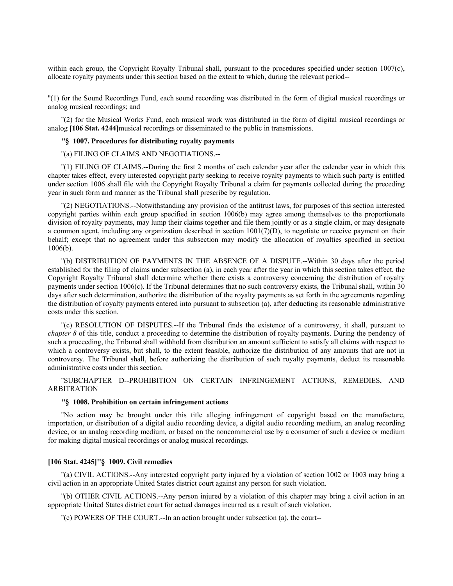within each group, the Copyright Royalty Tribunal shall, pursuant to the procedures specified under section 1007(c), allocate royalty payments under this section based on the extent to which, during the relevant period--

''(1) for the Sound Recordings Fund, each sound recording was distributed in the form of digital musical recordings or analog musical recordings; and

''(2) for the Musical Works Fund, each musical work was distributed in the form of digital musical recordings or analog **[106 Stat. 4244]**musical recordings or disseminated to the public in transmissions.

# **''§ 1007. Procedures for distributing royalty payments**

''(a) FILING OF CLAIMS AND NEGOTIATIONS.--

''(1) FILING OF CLAIMS.--During the first 2 months of each calendar year after the calendar year in which this chapter takes effect, every interested copyright party seeking to receive royalty payments to which such party is entitled under section 1006 shall file with the Copyright Royalty Tribunal a claim for payments collected during the preceding year in such form and manner as the Tribunal shall prescribe by regulation.

''(2) NEGOTIATIONS.--Notwithstanding any provision of the antitrust laws, for purposes of this section interested copyright parties within each group specified in section 1006(b) may agree among themselves to the proportionate division of royalty payments, may lump their claims together and file them jointly or as a single claim, or may designate a common agent, including any organization described in section 1001(7)(D), to negotiate or receive payment on their behalf; except that no agreement under this subsection may modify the allocation of royalties specified in section 1006(b).

''(b) DISTRIBUTION OF PAYMENTS IN THE ABSENCE OF A DISPUTE.--Within 30 days after the period established for the filing of claims under subsection (a), in each year after the year in which this section takes effect, the Copyright Royalty Tribunal shall determine whether there exists a controversy concerning the distribution of royalty payments under section 1006(c). If the Tribunal determines that no such controversy exists, the Tribunal shall, within 30 days after such determination, authorize the distribution of the royalty payments as set forth in the agreements regarding the distribution of royalty payments entered into pursuant to subsection (a), after deducting its reasonable administrative costs under this section.

''(c) RESOLUTION OF DISPUTES.--If the Tribunal finds the existence of a controversy, it shall, pursuant to *chapter 8* of this title, conduct a proceeding to determine the distribution of royalty payments. During the pendency of such a proceeding, the Tribunal shall withhold from distribution an amount sufficient to satisfy all claims with respect to which a controversy exists, but shall, to the extent feasible, authorize the distribution of any amounts that are not in controversy. The Tribunal shall, before authorizing the distribution of such royalty payments, deduct its reasonable administrative costs under this section.

''SUBCHAPTER D--PROHIBITION ON CERTAIN INFRINGEMENT ACTIONS, REMEDIES, AND ARBITRATION

# **''§ 1008. Prohibition on certain infringement actions**

''No action may be brought under this title alleging infringement of copyright based on the manufacture, importation, or distribution of a digital audio recording device, a digital audio recording medium, an analog recording device, or an analog recording medium, or based on the noncommercial use by a consumer of such a device or medium for making digital musical recordings or analog musical recordings.

## **[106 Stat. 4245]''§ 1009. Civil remedies**

''(a) CIVIL ACTIONS.--Any interested copyright party injured by a violation of section 1002 or 1003 may bring a civil action in an appropriate United States district court against any person for such violation.

''(b) OTHER CIVIL ACTIONS.--Any person injured by a violation of this chapter may bring a civil action in an appropriate United States district court for actual damages incurred as a result of such violation.

''(c) POWERS OF THE COURT.--In an action brought under subsection (a), the court--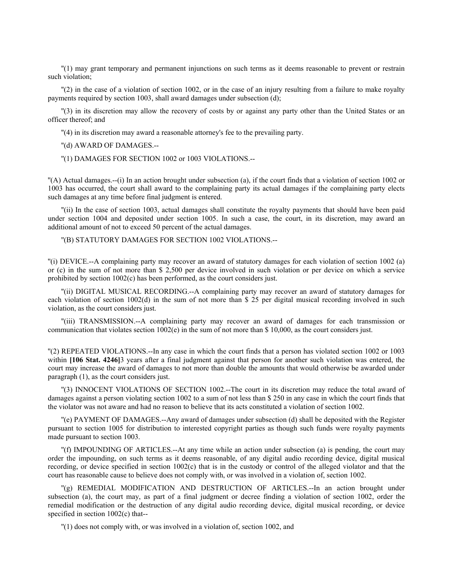''(1) may grant temporary and permanent injunctions on such terms as it deems reasonable to prevent or restrain such violation;

''(2) in the case of a violation of section 1002, or in the case of an injury resulting from a failure to make royalty payments required by section 1003, shall award damages under subsection (d);

''(3) in its discretion may allow the recovery of costs by or against any party other than the United States or an officer thereof; and

''(4) in its discretion may award a reasonable attorney's fee to the prevailing party.

''(d) AWARD OF DAMAGES.--

''(1) DAMAGES FOR SECTION 1002 or 1003 VIOLATIONS.--

''(A) Actual damages.--(i) In an action brought under subsection (a), if the court finds that a violation of section 1002 or 1003 has occurred, the court shall award to the complaining party its actual damages if the complaining party elects such damages at any time before final judgment is entered.

''(ii) In the case of section 1003, actual damages shall constitute the royalty payments that should have been paid under section 1004 and deposited under section 1005. In such a case, the court, in its discretion, may award an additional amount of not to exceed 50 percent of the actual damages.

''(B) STATUTORY DAMAGES FOR SECTION 1002 VIOLATIONS.--

''(i) DEVICE.--A complaining party may recover an award of statutory damages for each violation of section 1002 (a) or (c) in the sum of not more than \$ 2,500 per device involved in such violation or per device on which a service prohibited by section 1002(c) has been performed, as the court considers just.

''(ii) DIGITAL MUSICAL RECORDING.--A complaining party may recover an award of statutory damages for each violation of section 1002(d) in the sum of not more than \$ 25 per digital musical recording involved in such violation, as the court considers just.

''(iii) TRANSMISSION.--A complaining party may recover an award of damages for each transmission or communication that violates section 1002(e) in the sum of not more than \$ 10,000, as the court considers just.

''(2) REPEATED VIOLATIONS.--In any case in which the court finds that a person has violated section 1002 or 1003 within **[106 Stat. 4246**]<sup>3</sup> years after a final judgment against that person for another such violation was entered, the court may increase the award of damages to not more than double the amounts that would otherwise be awarded under paragraph (1), as the court considers just.

''(3) INNOCENT VIOLATIONS OF SECTION 1002.--The court in its discretion may reduce the total award of damages against a person violating section 1002 to a sum of not less than \$ 250 in any case in which the court finds that the violator was not aware and had no reason to believe that its acts constituted a violation of section 1002.

''(e) PAYMENT OF DAMAGES.--Any award of damages under subsection (d) shall be deposited with the Register pursuant to section 1005 for distribution to interested copyright parties as though such funds were royalty payments made pursuant to section 1003.

''(f) IMPOUNDING OF ARTICLES.--At any time while an action under subsection (a) is pending, the court may order the impounding, on such terms as it deems reasonable, of any digital audio recording device, digital musical recording, or device specified in section 1002(c) that is in the custody or control of the alleged violator and that the court has reasonable cause to believe does not comply with, or was involved in a violation of, section 1002.

''(g) REMEDIAL MODIFICATION AND DESTRUCTION OF ARTICLES.--In an action brought under subsection (a), the court may, as part of a final judgment or decree finding a violation of section 1002, order the remedial modification or the destruction of any digital audio recording device, digital musical recording, or device specified in section  $1002(c)$  that--

''(1) does not comply with, or was involved in a violation of, section 1002, and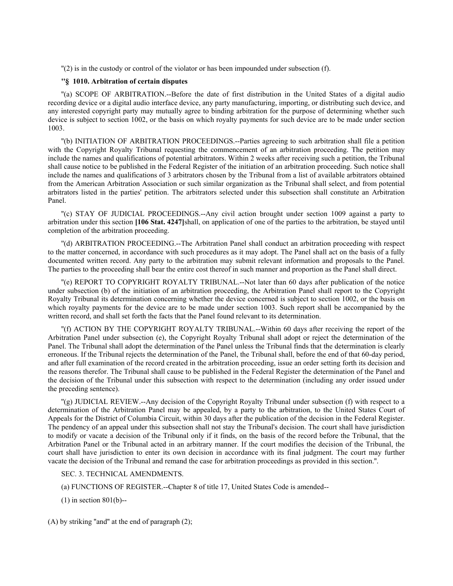''(2) is in the custody or control of the violator or has been impounded under subsection (f).

# **''§ 1010. Arbitration of certain disputes**

''(a) SCOPE OF ARBITRATION.--Before the date of first distribution in the United States of a digital audio recording device or a digital audio interface device, any party manufacturing, importing, or distributing such device, and any interested copyright party may mutually agree to binding arbitration for the purpose of determining whether such device is subject to section 1002, or the basis on which royalty payments for such device are to be made under section 1003.

''(b) INITIATION OF ARBITRATION PROCEEDINGS.--Parties agreeing to such arbitration shall file a petition with the Copyright Royalty Tribunal requesting the commencement of an arbitration proceeding. The petition may include the names and qualifications of potential arbitrators. Within 2 weeks after receiving such a petition, the Tribunal shall cause notice to be published in the Federal Register of the initiation of an arbitration proceeding. Such notice shall include the names and qualifications of 3 arbitrators chosen by the Tribunal from a list of available arbitrators obtained from the American Arbitration Association or such similar organization as the Tribunal shall select, and from potential arbitrators listed in the parties' petition. The arbitrators selected under this subsection shall constitute an Arbitration Panel.

''(c) STAY OF JUDICIAL PROCEEDINGS.--Any civil action brought under section 1009 against a party to arbitration under this section **[106 Stat. 4247]**shall, on application of one of the parties to the arbitration, be stayed until completion of the arbitration proceeding.

''(d) ARBITRATION PROCEEDING.--The Arbitration Panel shall conduct an arbitration proceeding with respect to the matter concerned, in accordance with such procedures as it may adopt. The Panel shall act on the basis of a fully documented written record. Any party to the arbitration may submit relevant information and proposals to the Panel. The parties to the proceeding shall bear the entire cost thereof in such manner and proportion as the Panel shall direct.

''(e) REPORT TO COPYRIGHT ROYALTY TRIBUNAL.--Not later than 60 days after publication of the notice under subsection (b) of the initiation of an arbitration proceeding, the Arbitration Panel shall report to the Copyright Royalty Tribunal its determination concerning whether the device concerned is subject to section 1002, or the basis on which royalty payments for the device are to be made under section 1003. Such report shall be accompanied by the written record, and shall set forth the facts that the Panel found relevant to its determination.

''(f) ACTION BY THE COPYRIGHT ROYALTY TRIBUNAL.--Within 60 days after receiving the report of the Arbitration Panel under subsection (e), the Copyright Royalty Tribunal shall adopt or reject the determination of the Panel. The Tribunal shall adopt the determination of the Panel unless the Tribunal finds that the determination is clearly erroneous. If the Tribunal rejects the determination of the Panel, the Tribunal shall, before the end of that 60-day period, and after full examination of the record created in the arbitration proceeding, issue an order setting forth its decision and the reasons therefor. The Tribunal shall cause to be published in the Federal Register the determination of the Panel and the decision of the Tribunal under this subsection with respect to the determination (including any order issued under the preceding sentence).

''(g) JUDICIAL REVIEW.--Any decision of the Copyright Royalty Tribunal under subsection (f) with respect to a determination of the Arbitration Panel may be appealed, by a party to the arbitration, to the United States Court of Appeals for the District of Columbia Circuit, within 30 days after the publication of the decision in the Federal Register. The pendency of an appeal under this subsection shall not stay the Tribunal's decision. The court shall have jurisdiction to modify or vacate a decision of the Tribunal only if it finds, on the basis of the record before the Tribunal, that the Arbitration Panel or the Tribunal acted in an arbitrary manner. If the court modifies the decision of the Tribunal, the court shall have jurisdiction to enter its own decision in accordance with its final judgment. The court may further vacate the decision of the Tribunal and remand the case for arbitration proceedings as provided in this section.''.

#### SEC. 3. TECHNICAL AMENDMENTS.

(a) FUNCTIONS OF REGISTER.--Chapter 8 of title 17, United States Code is amended--

(1) in section 801(b)--

(A) by striking ''and'' at the end of paragraph (2);